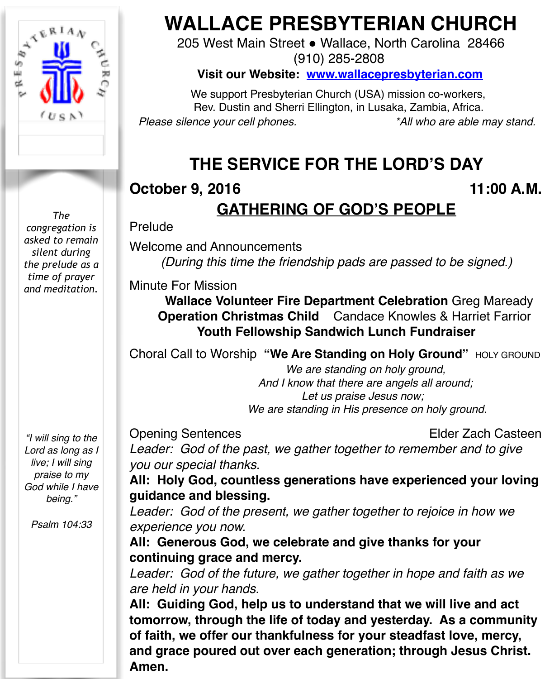

**WALLACE PRESBYTERIAN CHURCH**

205 West Main Street . Wallace, North Carolina 28466 (910) 285-2808

**Visit our Website: [www.wallacepresbyterian.com](http://www.wallacepresbyterian.com)**

 We support Presbyterian Church (USA) mission co-workers, Rev. Dustin and Sherri Ellington, in Lusaka, Zambia, Africa. *Please silence your cell phones. \*All who are able may stand.*

## **THE SERVICE FOR THE LORD'S DAY**

#### **October 9, 2016** 11:00 A.M.

### **GATHERING OF GOD'S PEOPLE**

#### Prelude !

Welcome and Announcements *(During this time the friendship pads are passed to be signed.)*

#### Minute For Mission

 **Wallace Volunteer Fire Department Celebration** Greg Maready **Operation Christmas Child** Candace Knowles & Harriet Farrior **Youth Fellowship Sandwich Lunch Fundraiser** 

Choral Call to Worship **"We Are Standing on Holy Ground"** HOLY GROUND

 *We are standing on holy ground, And I know that there are angels all around; Let us praise Jesus now; We are standing in His presence on holy ground.*

Opening Sentences **Elder Zach Casteen** 

*Leader: God of the past, we gather together to remember and to give you our special thanks.*

**All: Holy God, countless generations have experienced your loving guidance and blessing.**

*Leader: God of the present, we gather together to rejoice in how we experience you now.*

**All: Generous God, we celebrate and give thanks for your continuing grace and mercy.**

*Leader: God of the future, we gather together in hope and faith as we are held in your hands.*

**All: Guiding God, help us to understand that we will live and act tomorrow, through the life of today and yesterday. As a community of faith, we offer our thankfulness for your steadfast love, mercy, and grace poured out over each generation; through Jesus Christ. Amen.**

*The congregation is asked to remain silent during the prelude as a time of prayer and meditation.*

*"I will sing to the Lord as long as I live; I will sing praise to my God while I have being."*

*Psalm 104:33*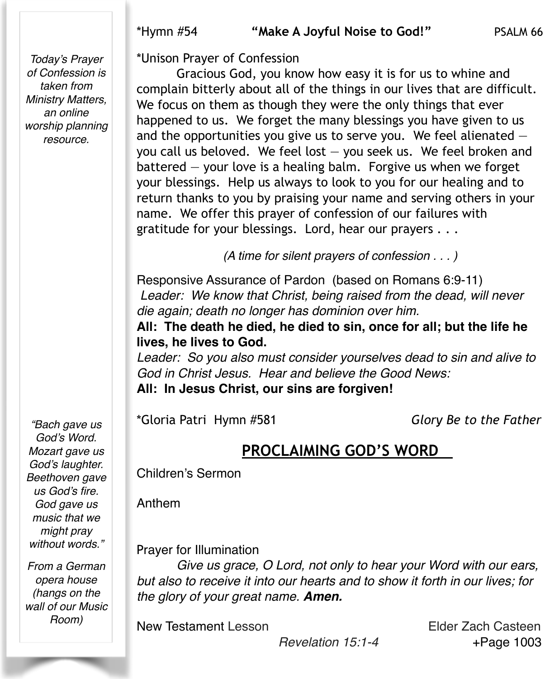*Today's Prayer of Confession is taken from Ministry Matters, an online worship planning resource.*

*"Bach gave us God's Word. Mozart gave us God's laughter. Beethoven gave us God's fire. God gave us music that we might pray without words."*

*From a German opera house (hangs on the wall of our Music Room)*

\*Unison Prayer of Confession

Gracious God, you know how easy it is for us to whine and complain bitterly about all of the things in our lives that are difficult. We focus on them as though they were the only things that ever happened to us. We forget the many blessings you have given to us and the opportunities you give us to serve you. We feel alienated  $$ you call us beloved. We feel lost — you seek us. We feel broken and battered — your love is a healing balm. Forgive us when we forget your blessings. Help us always to look to you for our healing and to return thanks to you by praising your name and serving others in your name. We offer this prayer of confession of our failures with gratitude for your blessings. Lord, hear our prayers . . .

*(A time for silent prayers of confession . . . )*

Responsive Assurance of Pardon (based on Romans 6:9-11) *Leader: We know that Christ, being raised from the dead, will never die again; death no longer has dominion over him.*

**All: The death he died, he died to sin, once for all; but the life he lives, he lives to God.**

*Leader: So you also must consider yourselves dead to sin and alive to God in Christ Jesus. Hear and believe the Good News:* **All: In Jesus Christ, our sins are forgiven!**

\*Gloria Patri Hymn #581 *Glory Be to the Father*

### **PROCLAIMING GOD'S WORD**

Children's Sermon

Anthem

Prayer for Illumination

*Give us grace, O Lord, not only to hear your Word with our ears, but also to receive it into our hearts and to show it forth in our lives; for the glory of your great name. Amen.*

New Testament Lesson **Elder Zach Casteen** 

 *Revelation 15:1-4* +Page 1003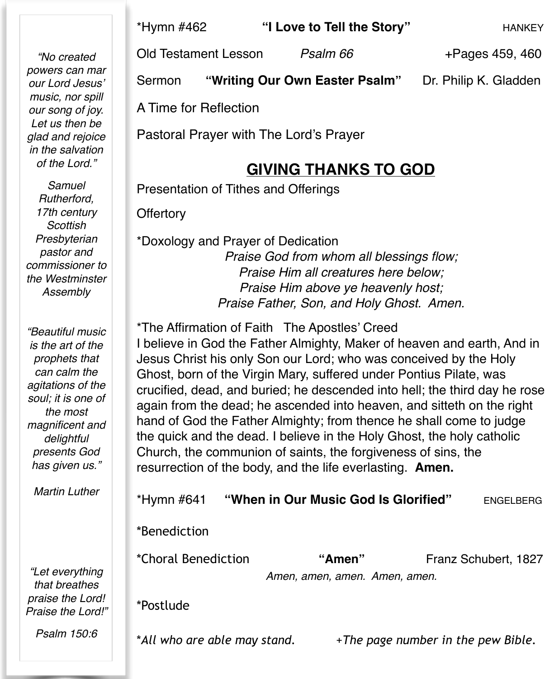\*Hymn #462 **"I Love to Tell the Story"** HANKEY

*"No created powers can mar our Lord Jesus' music, nor spill our song of joy. Let us then be glad and rejoice in the salvation of the Lord."*

*Samuel Rutherford, 17th century Scottish Presbyterian pastor and commissioner to the Westminster Assembly*

*"Beautiful music is the art of the prophets that can calm the agitations of the soul; it is one of the most magnificent and delightful presents God has given us."*

*Martin Luther "Let everything that breathes praise the Lord! Praise the Lord!" Psalm 150:6* \*Hymn #641 **"When in Our Music God Is Glorified"** ENGELBERG \*Benediction \*Choral Benediction **"Amen"** Franz Schubert, 1827  *Amen, amen, amen. Amen, amen.* \*Postlude \**All who are able may stand.* +*The page number in the pew Bible.* 

Old Testament Lesson *Psalm 66* + Pages 459, 460

Sermon **"Writing Our Own Easter Psalm"** Dr. Philip K. Gladden

A Time for Reflection

Pastoral Prayer with The Lord's Prayer

### **GIVING THANKS TO GOD**

Presentation of Tithes and Offerings

**Offertory** 

\*Doxology and Prayer of Dedication *Praise God from whom all blessings flow; Praise Him all creatures here below; Praise Him above ye heavenly host; Praise Father, Son, and Holy Ghost. Amen.*

\*The Affirmation of Faith The Apostles' Creed I believe in God the Father Almighty, Maker of heaven and earth, And in Jesus Christ his only Son our Lord; who was conceived by the Holy Ghost, born of the Virgin Mary, suffered under Pontius Pilate, was crucified, dead, and buried; he descended into hell; the third day he rose again from the dead; he ascended into heaven, and sitteth on the right hand of God the Father Almighty; from thence he shall come to judge the quick and the dead. I believe in the Holy Ghost, the holy catholic Church, the communion of saints, the forgiveness of sins, the resurrection of the body, and the life everlasting. **Amen.**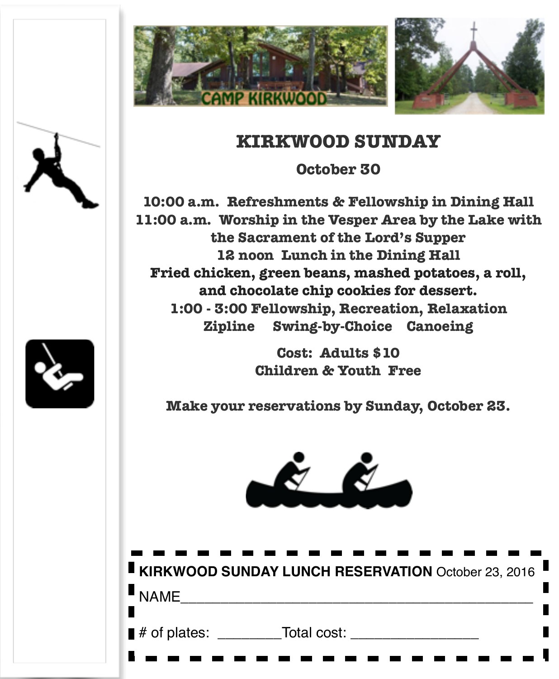

### **KIRKWOOD SUNDAY**

**October 30**

**10:00 a.m. Refreshments & Fellowship in Dining Hall 11:00 a.m. Worship in the Vesper Area by the Lake with the Sacrament of the Lord's Supper 12 noon Lunch in the Dining Hall Fried chicken, green beans, mashed potatoes, a roll, and chocolate chip cookies for dessert. 1:00 - 3:00 Fellowship, Recreation, Relaxation Zipline Swing-by-Choice Canoeing**

> **Cost: Adults \$10 Children & Youth Free**

**Make your reservations by Sunday, October 23.**



# **KIRKWOOD SUNDAY LUNCH RESERVATION** October 23, 2016 NAME\_\_\_\_\_\_\_\_\_\_\_\_\_\_\_\_\_\_\_\_\_\_\_\_\_\_\_\_\_\_\_\_\_\_\_\_\_\_\_\_\_\_\_\_

**■ # of plates: \_\_\_\_\_\_\_\_\_Total cost: \_\_\_\_\_\_\_\_\_\_\_\_\_\_\_\_\_\_** 



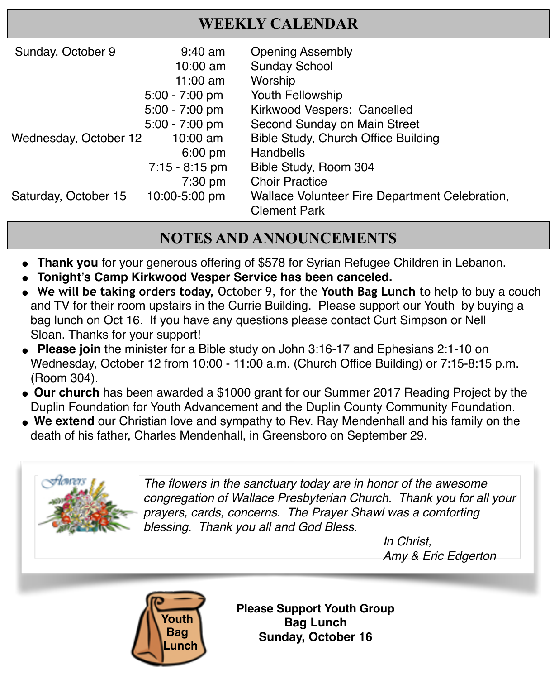#### **WEEKLY CALENDAR**

| Sunday, October 9<br>Wednesday, October 12 | $9:40$ am<br>10:00 $\text{am}$<br>$11:00 \text{ am}$<br>$5:00 - 7:00$ pm<br>$5:00 - 7:00$ pm<br>$5:00 - 7:00$ pm<br>$10:00 \text{ am}$<br>$6:00 \text{ pm}$ | <b>Opening Assembly</b><br><b>Sunday School</b><br>Worship<br>Youth Fellowship<br>Kirkwood Vespers: Cancelled<br>Second Sunday on Main Street<br>Bible Study, Church Office Building<br>Handbells |
|--------------------------------------------|-------------------------------------------------------------------------------------------------------------------------------------------------------------|---------------------------------------------------------------------------------------------------------------------------------------------------------------------------------------------------|
|                                            | $7:15 - 8:15$ pm<br>$7:30$ pm                                                                                                                               | Bible Study, Room 304<br><b>Choir Practice</b>                                                                                                                                                    |
| Saturday, October 15                       | 10:00-5:00 pm                                                                                                                                               | Wallace Volunteer Fire Department Celebration,<br><b>Clement Park</b>                                                                                                                             |

#### **NOTES AND ANNOUNCEMENTS**

- **Thank you** for your generous offering of \$578 for Syrian Refugee Children in Lebanon.
- **Tonight's Camp Kirkwood Vesper Service has been canceled.**
- " **We will be taking orders today,** October 9, for the **Youth Bag Lunch** to help to buy a couch and TV for their room upstairs in the Currie Building. Please support our Youth by buying a bag lunch on Oct 16. If you have any questions please contact Curt Simpson or Nell Sloan. Thanks for your support!
- **Please join** the minister for a Bible study on John 3:16-17 and Ephesians 2:1-10 on Wednesday, October 12 from 10:00 - 11:00 a.m. (Church Office Building) or 7:15-8:15 p.m. (Room 304).
- Our church has been awarded a \$1000 grant for our Summer 2017 Reading Project by the Duplin Foundation for Youth Advancement and the Duplin County Community Foundation.
- " **We extend** our Christian love and sympathy to Rev. Ray Mendenhall and his family on the death of his father, Charles Mendenhall, in Greensboro on September 29.



!!!!!!

*The flowers in the sanctuary today are in honor of the awesome congregation of Wallace Presbyterian Church. Thank you for all your prayers, cards, concerns. The Prayer Shawl was a comforting blessing. Thank you all and God Bless.*

In Christ, *Amy & Eric Edgerton*



**Please Support Youth Group Bag Lunch Sunday, October 16**